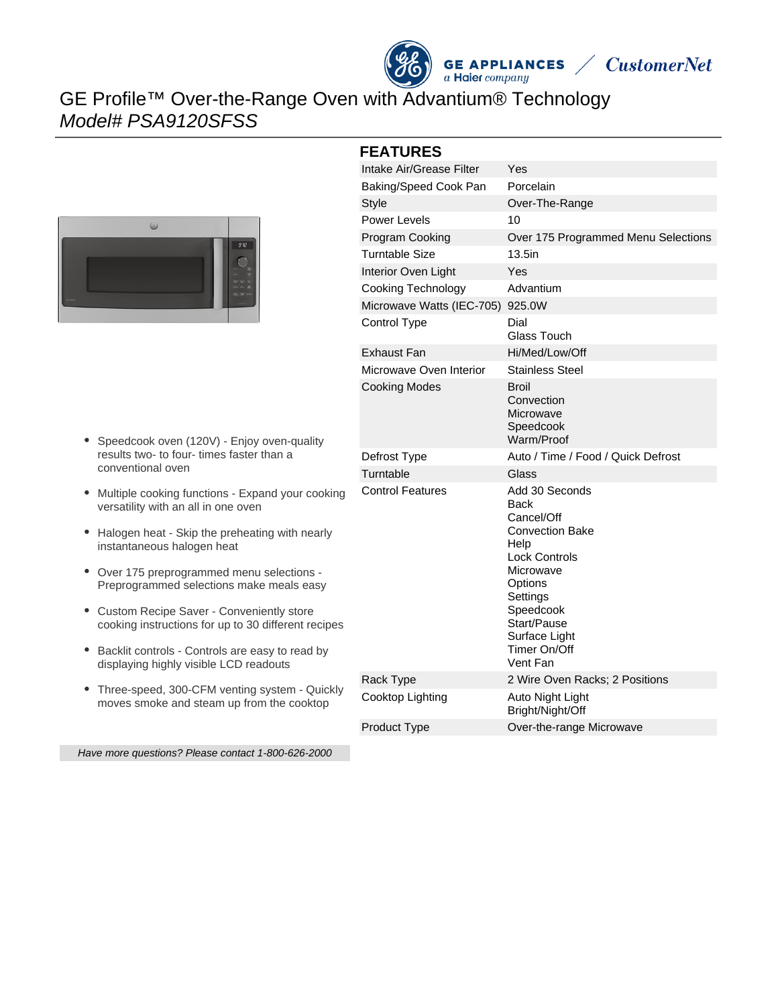



## GE Profile™ Over-the-Range Oven with Advantium® Technology Model# PSA9120SFSS



- Speedcook oven (120V) Enjoy oven-quality results two- to four- times faster than a conventional oven
- Multiple cooking functions Expand your cooking versatility with an all in one oven
- Halogen heat Skip the preheating with nearly instantaneous halogen heat
- Over 175 preprogrammed menu selections Preprogrammed selections make meals easy
- Custom Recipe Saver Conveniently store cooking instructions for up to 30 different recipes
- Backlit controls Controls are easy to read by displaying highly visible LCD readouts
- Three-speed, 300-CFM venting system Quickly moves smoke and steam up from the cooktop

# **FEATURES**

| Intake Air/Grease Filter         | Yes                                                                                                                                                                                                         |
|----------------------------------|-------------------------------------------------------------------------------------------------------------------------------------------------------------------------------------------------------------|
| Baking/Speed Cook Pan            | Porcelain                                                                                                                                                                                                   |
| <b>Style</b>                     | Over-The-Range                                                                                                                                                                                              |
| <b>Power Levels</b>              | 10                                                                                                                                                                                                          |
| Program Cooking                  | Over 175 Programmed Menu Selections                                                                                                                                                                         |
| Turntable Size                   | $13.5$ in                                                                                                                                                                                                   |
| Interior Oven Light              | Yes                                                                                                                                                                                                         |
| Cooking Technology               | Advantium                                                                                                                                                                                                   |
| Microwave Watts (IEC-705) 925.0W |                                                                                                                                                                                                             |
| Control Type                     | Dial<br>Glass Touch                                                                                                                                                                                         |
| Exhaust Fan                      | Hi/Med/Low/Off                                                                                                                                                                                              |
| Microwave Oven Interior          | <b>Stainless Steel</b>                                                                                                                                                                                      |
| <b>Cooking Modes</b>             | Broil<br>Convection<br>Microwave<br>Speedcook<br>Warm/Proof                                                                                                                                                 |
| Defrost Type                     | Auto / Time / Food / Quick Defrost                                                                                                                                                                          |
| Turntable                        | Glass                                                                                                                                                                                                       |
| <b>Control Features</b>          | Add 30 Seconds<br>Back<br>Cancel/Off<br><b>Convection Bake</b><br>Help<br><b>Lock Controls</b><br>Microwave<br>Options<br>Settings<br>Speedcook<br>Start/Pause<br>Surface Light<br>Timer On/Off<br>Vent Fan |
| Rack Type                        | 2 Wire Oven Racks; 2 Positions                                                                                                                                                                              |
| Cooktop Lighting                 | Auto Night Light                                                                                                                                                                                            |
|                                  | Bright/Night/Off                                                                                                                                                                                            |

Have more questions? Please contact 1-800-626-2000